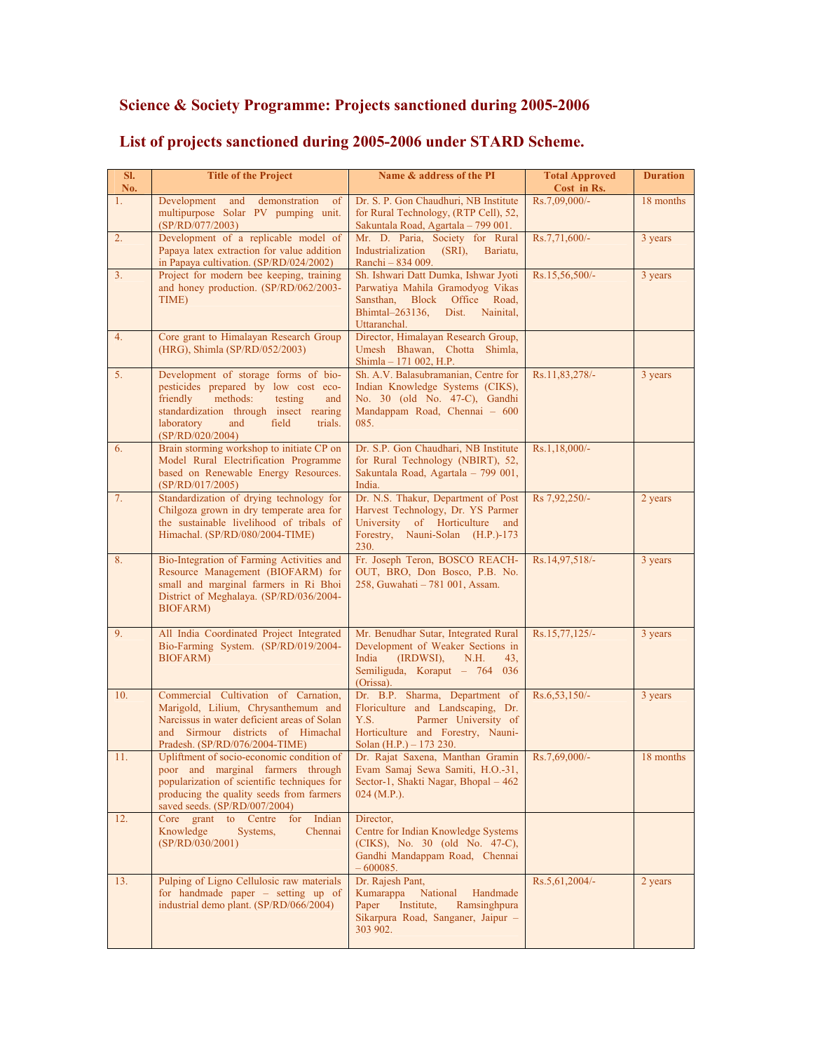## **Science & Society Programme: Projects sanctioned during 2005-2006**

| SI.<br>No.     | <b>Title of the Project</b>                                                                                                                                                                                                   | Name & address of the PI                                                                                                                                            | <b>Total Approved</b><br>Cost in Rs. | <b>Duration</b> |
|----------------|-------------------------------------------------------------------------------------------------------------------------------------------------------------------------------------------------------------------------------|---------------------------------------------------------------------------------------------------------------------------------------------------------------------|--------------------------------------|-----------------|
| 1.             | Development<br>and<br>demonstration<br>of<br>multipurpose Solar PV pumping unit.<br>(SP/RD/077/2003)                                                                                                                          | Dr. S. P. Gon Chaudhuri, NB Institute<br>for Rural Technology, (RTP Cell), 52,<br>Sakuntala Road, Agartala - 799 001.                                               | Rs.7,09,000/-                        | 18 months       |
| 2.             | Development of a replicable model of<br>Papaya latex extraction for value addition<br>in Papaya cultivation. (SP/RD/024/2002)                                                                                                 | Mr. D. Paria, Society for Rural<br>Industrialization<br>(SRI),<br>Bariatu.<br>Ranchi – 834 009.                                                                     | Rs.7,71,600/-                        | 3 years         |
| 3 <sub>1</sub> | Project for modern bee keeping, training<br>and honey production. (SP/RD/062/2003-<br>TIME)                                                                                                                                   | Sh. Ishwari Datt Dumka, Ishwar Jyoti<br>Parwatiya Mahila Gramodyog Vikas<br>Sansthan, Block Office Road,<br>Bhimtal-263136,<br>Dist.<br>Nainital,<br>Uttaranchal.   | Rs.15,56,500/-                       | 3 years         |
| 4.             | Core grant to Himalayan Research Group<br>(HRG), Shimla (SP/RD/052/2003)                                                                                                                                                      | Director, Himalayan Research Group,<br>Umesh Bhawan, Chotta Shimla,<br>Shimla - 171 002, H.P.                                                                       |                                      |                 |
| 5 <sub>1</sub> | Development of storage forms of bio-<br>pesticides prepared by low cost eco-<br>methods:<br>friendly<br>testing<br>and<br>standardization through insect rearing<br>laboratory<br>and<br>field<br>trials.<br>(SP/RD/020/2004) | Sh. A.V. Balasubramanian, Centre for<br>Indian Knowledge Systems (CIKS),<br>No. 30 (old No. 47-C), Gandhi<br>Mandappam Road, Chennai - 600<br>085.                  | Rs.11,83,278/-                       | 3 years         |
| 6.             | Brain storming workshop to initiate CP on<br>Model Rural Electrification Programme<br>based on Renewable Energy Resources.<br>(SP/RD/017/2005)                                                                                | Dr. S.P. Gon Chaudhari, NB Institute<br>for Rural Technology (NBIRT), 52,<br>Sakuntala Road, Agartala – 799 001,<br>India.                                          | Rs.1,18,000/-                        |                 |
| 7.             | Standardization of drying technology for<br>Chilgoza grown in dry temperate area for<br>the sustainable livelihood of tribals of<br>Himachal. (SP/RD/080/2004-TIME)                                                           | Dr. N.S. Thakur, Department of Post<br>Harvest Technology, Dr. YS Parmer<br>University of Horticulture<br>and<br>Forestry,<br>Nauni-Solan (H.P.)-173<br>230.        | Rs 7,92,250/-                        | 2 years         |
| 8.             | Bio-Integration of Farming Activities and<br>Resource Management (BIOFARM) for<br>small and marginal farmers in Ri Bhoi<br>District of Meghalaya. (SP/RD/036/2004-<br><b>BIOFARM</b> )                                        | Fr. Joseph Teron, BOSCO REACH-<br>OUT, BRO, Don Bosco, P.B. No.<br>258, Guwahati - 781 001, Assam.                                                                  | Rs.14,97,518/-                       | 3 years         |
| 9.             | All India Coordinated Project Integrated<br>Bio-Farming System. (SP/RD/019/2004-<br><b>BIOFARM</b> )                                                                                                                          | Mr. Benudhar Sutar, Integrated Rural<br>Development of Weaker Sections in<br>(IRDWSI),<br>India<br>N.H.<br>43,<br>Semiliguda, Koraput - 764 036<br>(Orissa).        | Rs.15,77,125/-                       | 3 years         |
| 10.            | Commercial Cultivation of Carnation,<br>Marigold, Lilium, Chrysanthemum and<br>Narcissus in water deficient areas of Solan<br>and Sirmour districts of Himachal<br>Pradesh. (SP/RD/076/2004-TIME)                             | Dr. B.P. Sharma, Department of<br>Floriculture and Landscaping, Dr.<br>Y.S.<br>Parmer University of<br>Horticulture and Forestry, Nauni-<br>Solan (H.P.) – 173 230. | $Rs.6,53,150/-$                      | 3 years         |
| 11.            | Upliftment of socio-economic condition of<br>poor and marginal farmers through<br>popularization of scientific techniques for<br>producing the quality seeds from farmers<br>saved seeds. (SP/RD/007/2004)                    | Dr. Rajat Saxena, Manthan Gramin<br>Evam Samaj Sewa Samiti, H.O.-31,<br>Sector-1, Shakti Nagar, Bhopal - 462<br>$024$ (M.P.).                                       | $Rs.7,69,000/-$                      | 18 months       |
| 12.            | Core grant to Centre<br>Indian<br>for<br>Knowledge<br>Systems,<br>Chennai<br>(SP/RD/030/2001)                                                                                                                                 | Director,<br>Centre for Indian Knowledge Systems<br>(CIKS), No. 30 (old No. 47-C),<br>Gandhi Mandappam Road, Chennai<br>$-600085.$                                  |                                      |                 |
| 13.            | Pulping of Ligno Cellulosic raw materials<br>for handmade paper $-$ setting up of<br>industrial demo plant. (SP/RD/066/2004)                                                                                                  | Dr. Rajesh Pant,<br>Kumarappa<br>National<br>Handmade<br>Institute,<br>Paper<br>Ramsinghpura<br>Sikarpura Road, Sanganer, Jaipur -<br>303 902.                      | Rs.5, 61, 2004/-                     | 2 years         |

## **List of projects sanctioned during 2005-2006 under STARD Scheme.**